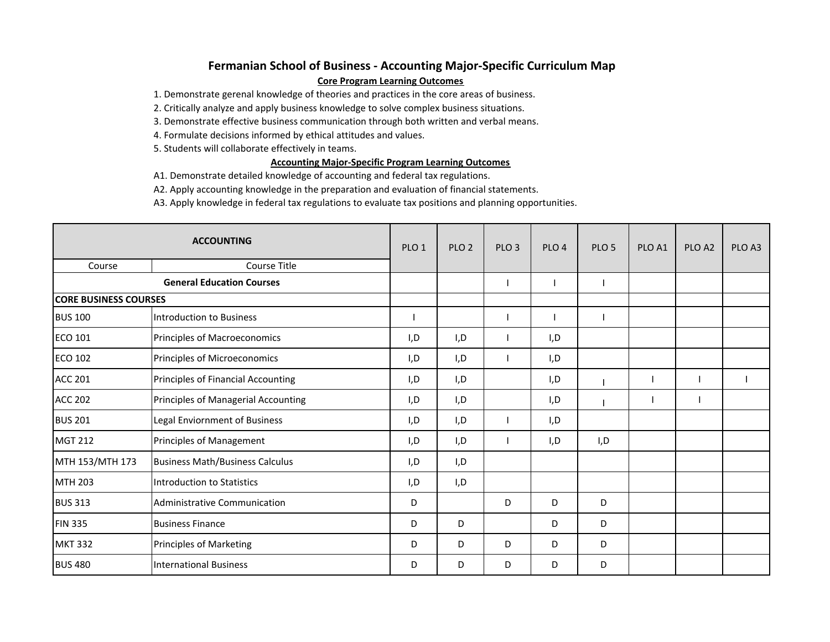## **Fermanian School of Business ‐ Accounting Major‐Specific Curriculum Map Core Program Learning Outcomes**

1. Demonstrate gerenal knowledge of theories and practices in the core areas of business.

2. Critically analyze and apply business knowledge to solve complex business situations.

3. Demonstrate effective business communication through both written and verbal means.

4. Formulate decisions informed by ethical attitudes and values.

5. Students will collaborate effectively in teams.

## **Accounting Major‐Specific Program Learning Outcomes**

A1. Demonstrate detailed knowledge of accounting and federal tax regulations.

A2. Apply accounting knowledge in the preparation and evaluation of financial statements.

A3. Apply knowledge in federal tax regulations to evaluate tax positions and planning opportunities.

| <b>ACCOUNTING</b>                |                                        | PLO <sub>1</sub> | PLO <sub>2</sub> | PLO <sub>3</sub> | PLO <sub>4</sub> | PLO <sub>5</sub> | PLO <sub>A1</sub> | PLO <sub>A2</sub> | PLO <sub>A3</sub> |
|----------------------------------|----------------------------------------|------------------|------------------|------------------|------------------|------------------|-------------------|-------------------|-------------------|
| Course                           | Course Title                           |                  |                  |                  |                  |                  |                   |                   |                   |
| <b>General Education Courses</b> |                                        |                  |                  |                  |                  |                  |                   |                   |                   |
| <b>CORE BUSINESS COURSES</b>     |                                        |                  |                  |                  |                  |                  |                   |                   |                   |
| <b>BUS 100</b>                   | Introduction to Business               |                  |                  |                  |                  |                  |                   |                   |                   |
| <b>ECO 101</b>                   | Principles of Macroeconomics           | I,D              | I,D              |                  | I,D              |                  |                   |                   |                   |
| <b>ECO 102</b>                   | Principles of Microeconomics           | I,D              | I, D             |                  | I, D             |                  |                   |                   |                   |
| <b>ACC 201</b>                   | Principles of Financial Accounting     | I,D              | I,D              |                  | I,D              |                  |                   |                   |                   |
| <b>ACC 202</b>                   | Principles of Managerial Accounting    | I,D              | I,D              |                  | I, D             |                  |                   |                   |                   |
| <b>BUS 201</b>                   | Legal Enviornment of Business          | I, D             | I, D             |                  | I, D             |                  |                   |                   |                   |
| <b>MGT 212</b>                   | Principles of Management               | I,D              | I,D              |                  | I,D              | I, D             |                   |                   |                   |
| MTH 153/MTH 173                  | <b>Business Math/Business Calculus</b> | I,D              | I,D              |                  |                  |                  |                   |                   |                   |
| <b>MTH 203</b>                   | Introduction to Statistics             | I,D              | I,D              |                  |                  |                  |                   |                   |                   |
| <b>BUS 313</b>                   | Administrative Communication           | D                |                  | D                | D                | D                |                   |                   |                   |
| <b>FIN 335</b>                   | <b>Business Finance</b>                | D                | D                |                  | D                | D                |                   |                   |                   |
| <b>MKT 332</b>                   | <b>Principles of Marketing</b>         | D                | D                | D                | D                | D                |                   |                   |                   |
| <b>BUS 480</b>                   | <b>International Business</b>          | D                | D                | D                | D                | D                |                   |                   |                   |